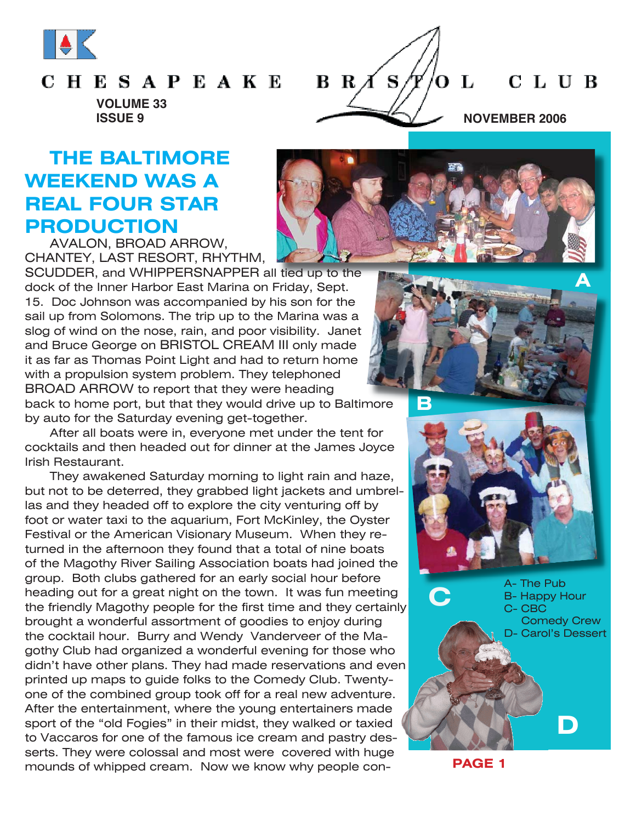

#### **CHESAPEAKE**

 $B R \overline{A} S$ L C L U B O **ISSUE 9 NOVEMBER 2006** 

**VOLUME 33**

## **THE BALTIMORE WEEKEND WAS A REAL FOUR STAR PRODUCTION**

AVALON, BROAD ARROW, CHANTEY, LAST RESORT, RHYTHM,

SCUDDER, and WHIPPERSNAPPER all tied up to the dock of the Inner Harbor East Marina on Friday, Sept. 15. Doc Johnson was accompanied by his son for the sail up from Solomons. The trip up to the Marina was a slog of wind on the nose, rain, and poor visibility. Janet and Bruce George on BRISTOL CREAM III only made it as far as Thomas Point Light and had to return home with a propulsion system problem. They telephoned BROAD ARROW to report that they were heading back to home port, but that they would drive up to Baltimore by auto for the Saturday evening get-together.

After all boats were in, everyone met under the tent for cocktails and then headed out for dinner at the James Joyce Irish Restaurant.

They awakened Saturday morning to light rain and haze, but not to be deterred, they grabbed light jackets and umbrellas and they headed off to explore the city venturing off by foot or water taxi to the aquarium, Fort McKinley, the Oyster Festival or the American Visionary Museum. When they returned in the afternoon they found that a total of nine boats of the Magothy River Sailing Association boats had joined the group. Both clubs gathered for an early social hour before heading out for a great night on the town. It was fun meeting the friendly Magothy people for the first time and they certainly brought a wonderful assortment of goodies to enjoy during the cocktail hour. Burry and Wendy Vanderveer of the Magothy Club had organized a wonderful evening for those who didn't have other plans. They had made reservations and even printed up maps to guide folks to the Comedy Club. Twentyone of the combined group took off for a real new adventure. After the entertainment, where the young entertainers made sport of the "old Fogies" in their midst, they walked or taxied to Vaccaros for one of the famous ice cream and pastry desserts. They were colossal and most were covered with huge mounds of whipped cream. Now we know why people con-





A- The Pub B- Happy Hour C- CBC Comedy Crew D- Carol's Dessert

**D**

**PAGE 1**

**C**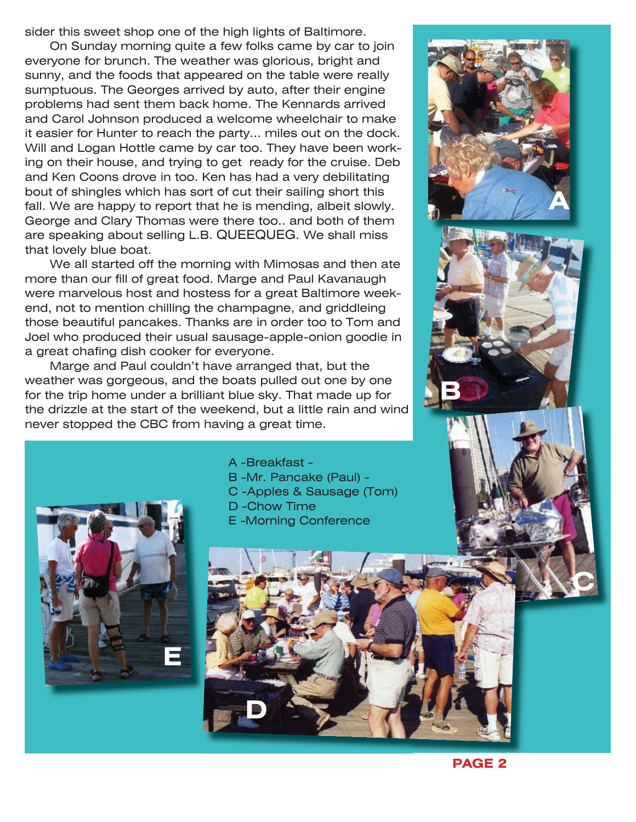sider this sweet shop one of the high lights of Baltimore.

On Sunday morning quite a few folks came by car to join everyone for brunch. The weather was glorious, bright and sunny, and the foods that appeared on the table were really sumptuous. The Georges arrived by auto, after their engine problems had sent them back home. The Kennards arrived and Carol Johnson produced a welcome wheelchair to make it easier for Hunter to reach the party... miles out on the dock. Will and Logan Hottle came by car too. They have been working on their house, and trying to get ready for the cruise. Deb and Ken Coons drove in too. Ken has had a very debilitating bout of shingles which has sort of cut their sailing short this fall. We are happy to report that he is mending, albeit slowly. George and Clary Thomas were there too.. and both of them are speaking about selling L.B. QUEEQUEG. We shall miss that lovely blue boat.

We all started off the morning with Mimosas and then ate more than our fill of great food. Marge and Paul Kavanaugh were marvelous host and hostess for a great Baltimore weekend, not to mention chilling the champagne, and griddleing those beautiful pancakes. Thanks are in order too to Tom and Joel who produced their usual sausage-apple-onion goodie in a great chafing dish cooker for everyone.

Marge and Paul couldn't have arranged that, but the weather was gorgeous, and the boats pulled out one by one for the trip home under a brilliant blue sky. That made up for the drizzle at the start of the weekend, but a little rain and wind never stopped the CBC from having a great time.





**C**



A -Breakfast - B -Mr. Pancake (Paul) - C -Apples & Sausage (Tom) D -Chow Time E -Morning Conference



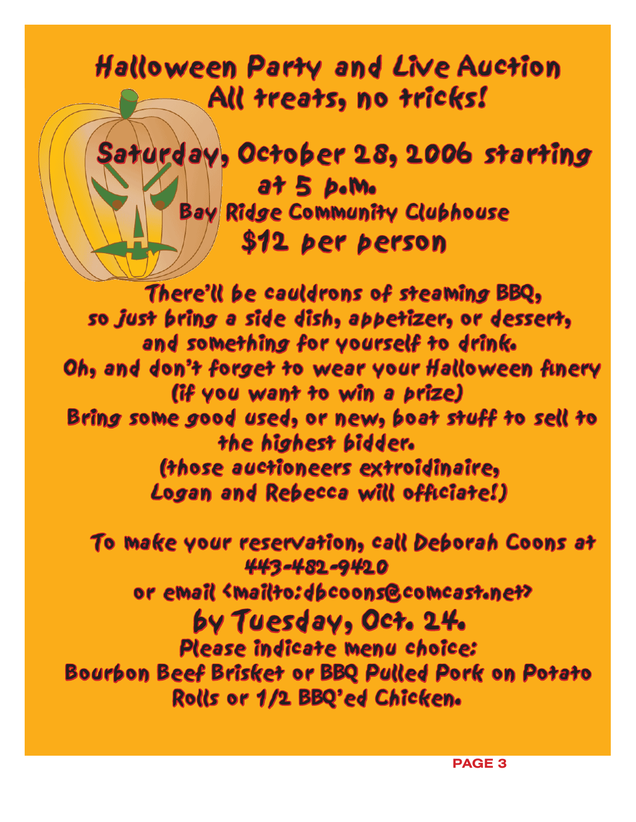# Halloween Party and Live Auction All treats, no tricks!



There'll be cauldrons of steaming BBQ, so just bring a side dish, appetizer, or dessert, and something for yourself to drink. Oh, and don't forget to wear your Halloween finery (if you want to win a prize) Bring some good used, or new, boat stuff to sell to the highest bidder. (those auctioneers extroidinaire, Logan and Rebecca will officiate!)

To make your reservation, call Deborah Coons at 443-482-9420 or email <mailto:dbcoons@comcast.net> by Tuesday, Oct. 24. y Please indicate menu choice: Bourbon Beef Brisket or BBQ Pulled Pork on Potato Rolls or 1/2 BBQ'ed Chicken.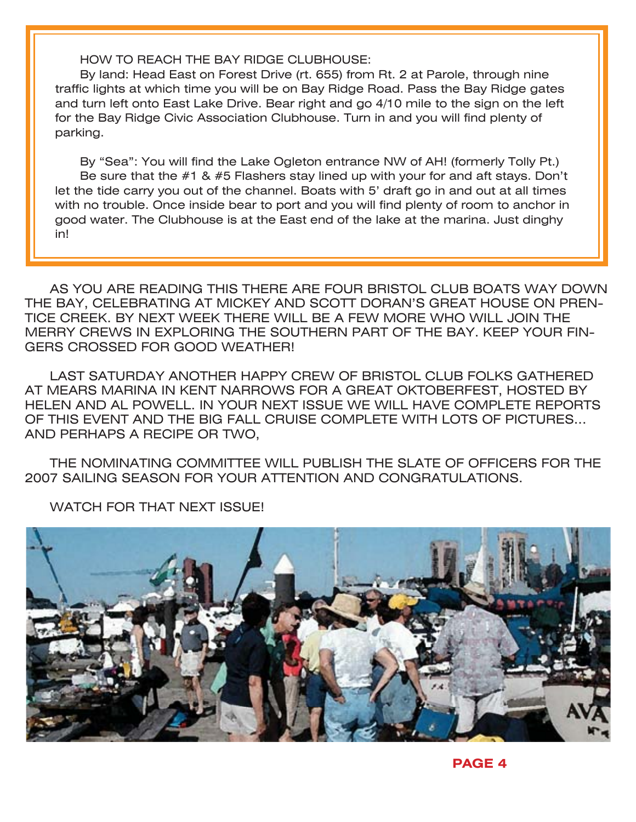HOW TO REACH THE BAY RIDGE CLUBHOUSE:

By land: Head East on Forest Drive (rt. 655) from Rt. 2 at Parole, through nine traffic lights at which time you will be on Bay Ridge Road. Pass the Bay Ridge gates and turn left onto East Lake Drive. Bear right and go 4/10 mile to the sign on the left for the Bay Ridge Civic Association Clubhouse. Turn in and you will find plenty of parking.

By "Sea": You will find the Lake Ogleton entrance NW of AH! (formerly Tolly Pt.) Be sure that the  $#1$  &  $#5$  Flashers stay lined up with your for and aft stays. Don't let the tide carry you out of the channel. Boats with 5' draft go in and out at all times with no trouble. Once inside bear to port and you will find plenty of room to anchor in good water. The Clubhouse is at the East end of the lake at the marina. Just dinghy in!

AS YOU ARE READING THIS THERE ARE FOUR BRISTOL CLUB BOATS WAY DOWN THE BAY, CELEBRATING AT MICKEY AND SCOTT DORAN'S GREAT HOUSE ON PREN-TICE CREEK. BY NEXT WEEK THERE WILL BE A FEW MORE WHO WILL JOIN THE MERRY CREWS IN EXPLORING THE SOUTHERN PART OF THE BAY. KEEP YOUR FIN-GERS CROSSED FOR GOOD WEATHER!

LAST SATURDAY ANOTHER HAPPY CREW OF BRISTOL CLUB FOLKS GATHERED AT MEARS MARINA IN KENT NARROWS FOR A GREAT OKTOBERFEST, HOSTED BY HELEN AND AL POWELL. IN YOUR NEXT ISSUE WE WILL HAVE COMPLETE REPORTS OF THIS EVENT AND THE BIG FALL CRUISE COMPLETE WITH LOTS OF PICTURES... AND PERHAPS A RECIPE OR TWO,

THE NOMINATING COMMITTEE WILL PUBLISH THE SLATE OF OFFICERS FOR THE 2007 SAILING SEASON FOR YOUR ATTENTION AND CONGRATULATIONS.

WATCH FOR THAT NEXT ISSUE!

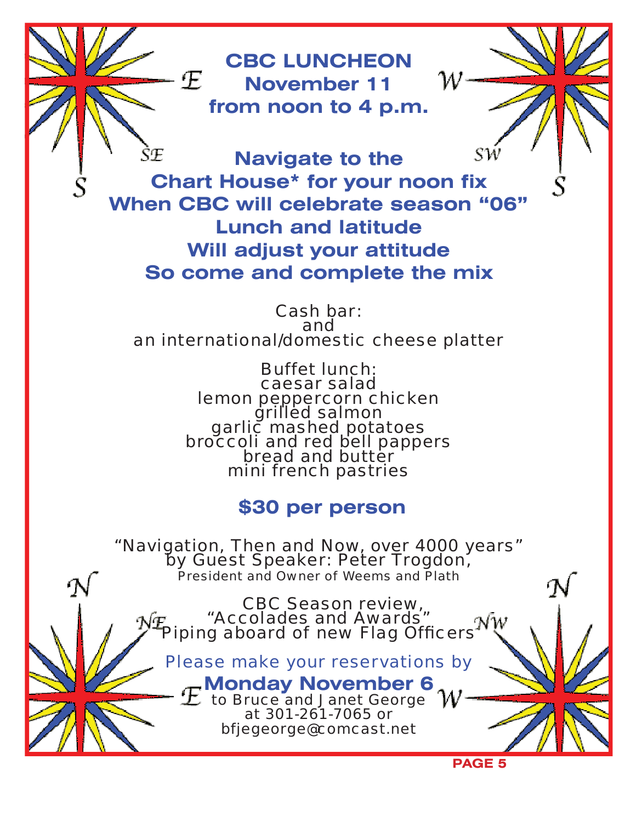**CBC LUNCHEON November 11 from noon to 4 p.m.**

SŒ **Navigate to the Chart House\* for your noon fix When CBC will celebrate season "06" Lunch and latitude Will adjust your attitude So come and complete the mix**

Cash bar: and an international/domestic cheese platter

> Buffet lunch: caesar salad<br>lemon peppercorn chicken drilled salmon<br>garlic mashed potatoes<br>broccoli and red bell pappers<br>bread and butter mini french pastries

### **\$30 per person**

"Navigation, Then and Now, over 4000 years" by Guest Speaker: Peter Trogdon, President and Owner of Weems and Plath

> CBC Season review, "Accolades and Awards" Piping aboard of new Flag Officers

Please make your reservations by

**Monday November 6** 

to Bruce and Janet George at 301-261-7065 or bfjegeorge@comcast.net

**PAGE 5**